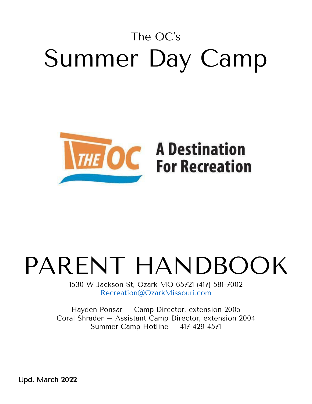### The OC's Summer Day Camp



# **THE OC** A Destination

## PARENT HANDBOOK

1530 W Jackson St, Ozark MO 65721 (417) 581-7002 [Recreation@OzarkMissouri.com](mailto:Recreation@OzarkMissouri.com)

Hayden Ponsar – Camp Director, extension 2005 Coral Shrader – Assistant Camp Director, extension 2004 Summer Camp Hotline – 417-429-4571

Upd. March 2022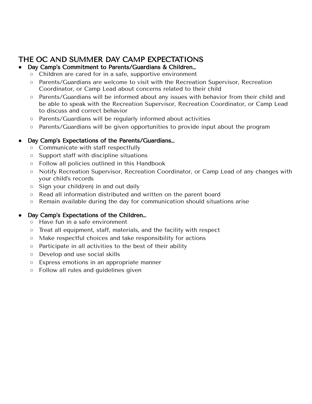#### THE OC AND SUMMER DAY CAMP EXPECTATIONS

#### Day Camp's Commitment to Parents/Guardians & Children...

- Children are cared for in a safe, supportive environment
- Parents/Guardians are welcome to visit with the Recreation Supervisor, Recreation Coordinator, or Camp Lead about concerns related to their child
- Parents/Guardians will be informed about any issues with behavior from their child and be able to speak with the Recreation Supervisor, Recreation Coordinator, or Camp Lead to discuss and correct behavior
- Parents/Guardians will be regularly informed about activities
- Parents/Guardians will be given opportunities to provide input about the program

#### Day Camp's Expectations of the Parents/Guardians...

- Communicate with staff respectfully
- Support staff with discipline situations
- Follow all policies outlined in this Handbook
- Notify Recreation Supervisor, Recreation Coordinator, or Camp Lead of any changes with your child's records
- Sign your child(ren) in and out daily
- Read all information distributed and written on the parent board
- Remain available during the day for communication should situations arise

#### Day Camp's Expectations of the Children...

- Have fun in a safe environment
- Treat all equipment, staff, materials, and the facility with respect
- Make respectful choices and take responsibility for actions
- Participate in all activities to the best of their ability
- Develop and use social skills
- Express emotions in an appropriate manner
- Follow all rules and guidelines given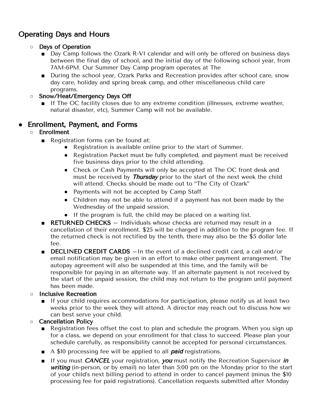#### Operating Days and Hours

- Days of Operation
	- Day Camp follows the Ozark R-VI calendar and will only be offered on business days between the final day of school, and the initial day of the following school year, from 7AM-6PM. Our Summer Day Camp program operates at The
	- During the school year, Ozark Parks and Recreation provides after school care, snow day care, holiday and spring break camp, and other miscellaneous child care programs.
- Snow/Heat/Emergency Days Off
	- If The OC facility closes due to any extreme condition (illnesses, extreme weather, natural disaster, etc), Summer Camp will not be available.

#### ● Enrollment, Payment, and Forms

- Enrollment
	- Registration forms can be found at:
		- Registration is available online prior to the start of Summer.
		- Registration Packet must be fully completed, and payment must be received five business days prior to the child attending.
		- Check or Cash Payments will only be accepted at The OC front desk and must be received by *Thursday* prior to the start of the next week the child will attend. Checks should be made out to "The City of Ozark"
		- Payments will not be accepted by Camp Staff
		- Children may not be able to attend if a payment has not been made by the Wednesday of the unpaid session.
		- If the program is full, the child may be placed on a waiting list.
	- RETURNED CHECKS Individuals whose checks are returned may result in a cancellation of their enrollment. \$25 will be charged in addition to the program fee. If the returned check is not rectified by the tenth, there may also be the \$5 dollar late fee.
	- DECLINED CREDIT CARDS In the event of a declined credit card, a call and/or email notification may be given in an effort to make other payment arrangement. The autopay agreement will also be suspended at this time, and the family will be responsible for paying in an alternate way. If an alternate payment is not received by the start of the unpaid session, the child may not return to the program until payment has been made.

#### ○ Inclusive Recreation

- If your child requires accommodations for participation, please notify us at least two weeks prior to the week they will attend. A director may reach out to discuss how we can best serve your child.
- Cancellation Policy
	- Registration fees offset the cost to plan and schedule the program. When you sign up for a class, we depend on your enrollment for that class to succeed. Please plan your schedule carefully, as responsibility cannot be accepted for personal circumstances.
	- $\blacksquare$  A \$10 processing fee will be applied to all **paid** registrations.
	- If you must CANCEL your registration, you must notify the Recreation Supervisor in writing (in-person, or by email) no later than 5:00 pm on the Monday prior to the start of your child's next billing period to attend in order to cancel payment (minus the \$10 processing fee for paid registrations). Cancellation requests submitted after Monday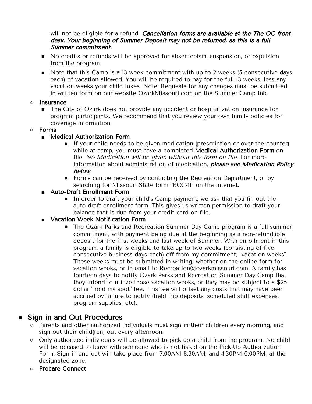will not be eligible for a refund. Cancellation forms are available at the The OC front desk. Your beginning of Summer Deposit may not be returned, as this is <sup>a</sup> full Summer commitment.

- No credits or refunds will be approved for absenteeism, suspension, or expulsion from the program.
- Note that this Camp is a 13 week commitment with up to 2 weeks (5 consecutive days each) of vacation allowed. You will be required to pay for the full 13 weeks, less any vacation weeks your child takes. Note: Requests for any changes must be submitted in written form on our website OzarkMissouri.com on the Summer Camp tab.
- Insurance
	- The City of Ozark does not provide any accident or hospitalization insurance for program participants. We recommend that you review your own family policies for coverage information.
- **○** Forms
	- Medical Authorization Form
		- If your child needs to be given medication (prescription or over-the-counter) while at camp, you must have a completed Medical Authorization Form on file. No Medication will be given without this form on file. For more information about administration of medication, please see Medication Policy below.
		- Forms can be received by contacting the Recreation Department, or by searching for Missouri State form "BCC-11" on the internet.
	- Auto-Draft Enrollment Form
		- In order to draft your child's Camp payment, we ask that you fill out the auto-draft enrollment form. This gives us written permission to draft your balance that is due from your credit card on file.
	- **■** Vacation Week Notification Form
		- The Ozark Parks and Recreation Summer Day Camp program is a full summer commitment, with payment being due at the beginning as a non-refundable deposit for the first weeks and last week of Summer. With enrollment in this program, a family is eligible to take up to two weeks (consisting of five consecutive business days each) off from my commitment, "vacation weeks". These weeks must be submitted in writing, whether on the online form for vacation weeks, or in email to Recreation@ozarkmissouri.com. A family has fourteen days to notify Ozark Parks and Recreation Summer Day Camp that they intend to utilize those vacation weeks, or they may be subject to a \$25 dollar "hold my spot" fee. This fee will offset any costs that may have been accrued by failure to notify (field trip deposits, scheduled staff expenses, program supplies, etc).

#### **Sign in and Out Procedures**

- Parents and other authorized individuals must sign in their children every morning, and sign out their child(ren) out every afternoon.
- Only authorized individuals will be allowed to pick up a child from the program. No child will be released to leave with someone who is not listed on the Pick-Up Authorization Form. Sign in and out will take place from 7:00AM-8:30AM, and 4:30PM-6:00PM, at the designated zone.
- **○** Procare Connect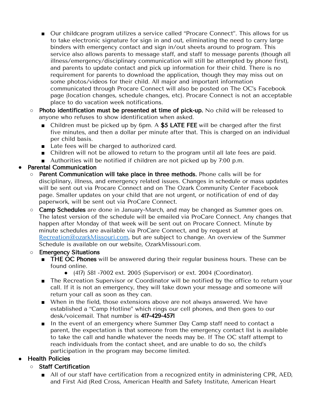- Our childcare program utilizes a service called "Procare Connect". This allows for us to take electronic signature for sign in and out, eliminating the need to carry large binders with emergency contact and sign in/out sheets around to program. This service also allows parents to message staff, and staff to message parents (though all illness/emergency/disciplinary communication will still be attempted by phone first), and parents to update contact and pick up information for their child. There is no requirement for parents to download the application, though they may miss out on some photos/videos for their child. All major and important information communicated through Procare Connect will also be posted on The OC's Facebook page (location changes, schedule changes, etc). Procare Connect is not an acceptable place to do vacation week notifications.
- Photo identification must be presented at time of pick-up. No child will be released to anyone who refuses to show identification when asked.
	- Children must be picked up by 6pm. A \$5 LATE FEE will be charged after the first five minutes, and then a dollar per minute after that. This is charged on an individual per child basis.
	- Late fees will be charged to authorized card.
	- Children will not be allowed to return to the program until all late fees are paid.
	- Authorities will be notified if children are not picked up by 7:00 p.m.

#### **●** Parental Communication

- Parent Communication will take place in three methods. Phone calls will be for disciplinary, illness, and emergency related issues. Changes in schedule or mass updates will be sent out via Procare Connect and on The Ozark Community Center Facebook page. Smaller updates on your child that are not urgent, or notification of end of day paperwork, will be sent out via ProCare Connect.
- **Camp Schedules** are done in January-March, and may be changed as Summer goes on. The latest version of the schedule will be emailed via ProCare Connect. Any changes that happen after Monday of that week will be sent out on Procare Connect. Minute by minute schedules are available via ProCare Connect, and by request at [Recreation@ozarkMissouri.com](mailto:Recreation@ozarkMissouri.com), but are subject to change. An overview of the Summer Schedule is available on our website, OzarkMissouri.com.

#### ○ Emergency Situations

- THE OC Phones will be answered during their regular business hours. These can be found online.
	- (417) 581 -7002 ext. 2005 (Supervisor) or ext. 2004 (Coordinator).
- The Recreation Supervisor or Coordinator will be notified by the office to return your call. If it is not an emergency, they will take down your message and someone will return your call as soon as they can.
- When in the field, those extensions above are not always answered. We have established a "Camp Hotline" which rings our cell phones, and then goes to our desk/voicemail. That number is 417-429-4571
- In the event of an emergency where Summer Day Camp staff need to contact a parent, the expectation is that someone from the emergency contact list is available to take the call and handle whatever the needs may be. If The OC staff attempt to reach individuals from the contact sheet, and are unable to do so, the child's participation in the program may become limited.

#### **Health Policies**

- Staff Certification
	- All of our staff have certification from a recognized entity in administering CPR, AED, and First Aid (Red Cross, American Health and Safety Institute, American Heart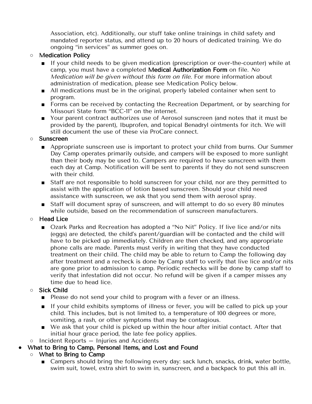Association, etc). Additionally, our stuff take online trainings in child safety and mandated reporter status, and attend up to 20 hours of dedicated training. We do ongoing "in services" as summer goes on.

- **○** Medication Policy
	- If your child needs to be given medication (prescription or over-the-counter) while at camp, you must have a completed Medical Authorization Form on file. No Medication will be given without this form on file. For more information about administration of medication, please see Medication Policy below.
	- All medications must be in the original, properly labeled container when sent to program.
	- Forms can be received by contacting the Recreation Department, or by searching for Missouri State form "BCC-11" on the internet.
	- Your parent contract authorizes use of Aerosol sunscreen (and notes that it must be provided by the parent), Ibuprofen, and topical Benadryl ointments for itch. We will still document the use of these via ProCare connect.

#### **○** Sunscreen

- Appropriate sunscreen use is important to protect your child from burns. Our Summer Day Camp operates primarily outside, and campers will be exposed to more sunlight than their body may be used to. Campers are required to have sunscreen with them each day at Camp. Notification will be sent to parents if they do not send sunscreen with their child.
- Staff are not responsible to hold sunscreen for your child, nor are they permitted to assist with the application of lotion based sunscreen. Should your child need assistance with sunscreen, we ask that you send them with aerosol spray.
- Staff will document spray of sunscreen, and will attempt to do so every 80 minutes while outside, based on the recommendation of sunscreen manufacturers.

#### **○** Head Lice

■ Ozark Parks and Recreation has adopted a "No Nit" Policy. If live lice and/or nits (eggs) are detected, the child's parent/guardian will be contacted and the child will have to be picked up immediately. Children are then checked, and any appropriate phone calls are made. Parents must verify in writing that they have conducted treatment on their child. The child may be able to return to Camp the following day after treatment and a recheck is done by Camp staff to verify that live lice and/or nits are gone prior to admission to camp. Periodic rechecks will be done by camp staff to verify that infestation did not occur. No refund will be given if a camper misses any time due to head lice.

#### ○ Sick Child

- Please do not send your child to program with a fever or an illness.
- If your child exhibits symptoms of illness or fever, you will be called to pick up your child. This includes, but is not limited to, a temperature of 100 degrees or more, vomiting, a rash, or other symptoms that may be contagious.
- We ask that your child is picked up within the hour after initial contact. After that initial hour grace period, the late fee policy applies.
- $\circ$  Incident Reports  $-$  Injuries and Accidents
- What to Bring to Camp, Personal Items, and Lost and Found
	- **○** What to Bring to Camp
		- Campers should bring the following every day: sack lunch, snacks, drink, water bottle, swim suit, towel, extra shirt to swim in, sunscreen, and a backpack to put this all in.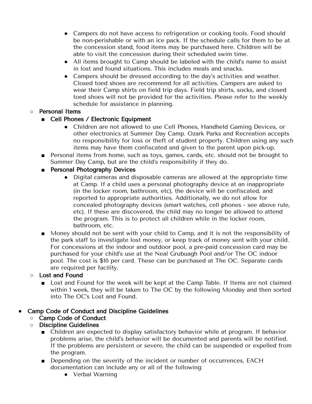- Campers do not have access to refrigeration or cooking tools. Food should be non-perishable or with an ice pack. If the schedule calls for them to be at the concession stand, food items may be purchased here. Children will be able to visit the concession during their scheduled swim time.
- All items brought to Camp should be labeled with the child's name to assist in lost and found situations. This includes meals and snacks.
- Campers should be dressed according to the day's activities and weather. Closed toed shoes are recommend for all activities. Campers are asked to wear their Camp shirts on field trip days. Field trip shirts, socks, and closed toed shoes will not be provided for the activities. Please refer to the weekly schedule for assistance in planning.

#### ○ Personal Items

- Cell Phones / Electronic Equipment
	- Children are not allowed to use Cell Phones, Handheld Gaming Devices, or other electronics at Summer Day Camp. Ozark Parks and Recreation accepts no responsibility for loss or theft of student property. Children using any such items may have them confiscated and given to the parent upon pick-up.
- Personal items from home, such as toys, games, cards, etc. should not be brought to Summer Day Camp, but are the child's responsibility if they do.
- Personal Photography Devices
	- Digital cameras and disposable cameras are allowed at the appropriate time at Camp. If a child uses a personal photography device at an inappropriate (in the locker room, bathroom, etc), the device will be confiscated, and reported to appropriate authorities. Additionally, we do not allow for concealed photography devices (smart watches, cell phones - see above rule, etc). If these are discovered, the child may no longer be allowed to attend the program. This is to protect all children while in the locker room, bathroom, etc.
- Money should not be sent with your child to Camp, and it is not the responsibility of the park staff to investigate lost money, or keep track of money sent with your child. For concessions at the indoor and outdoor pool, a pre-paid concession card may be purchased for your child's use at the Neal Grubuagh Pool and/or The OC indoor pool. The cost is \$10 per card. These can be purchased at The OC. Separate cards are required per facility.
- **○** Lost and Found
	- Lost and Found for the week will be kept at the Camp Table. If Items are not claimed within 1 week, they will be taken to The OC by the following Monday and then sorted into The OC's Lost and Found.

#### Camp Code of Conduct and Discipline Guidelines

#### ○ Camp Code of Conduct

- Discipline Guidelines
	- Children are expected to display satisfactory behavior while at program. If behavior problems arise, the child's behavior will be documented and parents will be notified. If the problems are persistent or severe, the child can be suspended or expelled from the program.
	- Depending on the severity of the incident or number of occurrences, EACH documentation can include any or all of the following:
		- Verbal Warning